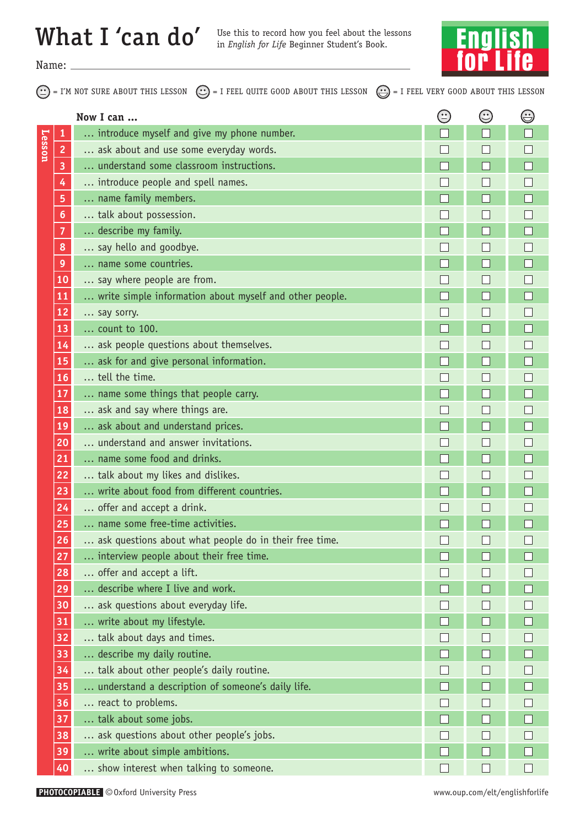## What I 'can do'

Use this to record how you feel about the lessons<br>in *English for Life* Beginner Student's Book.



Name:

 $=$  I'M NOT SURE ABOUT THIS LESSON  $(\cdot \cdot)$  = I FEEL QUITE GOOD ABOUT THIS LESSON  $(\cdot \cdot)$  = I FEEL VERY GOOD ABOUT THIS LESSON

|               |                 | Now I can                                               | $\bigodot$ | $\odot$ | $\bigoplus$ |
|---------------|-----------------|---------------------------------------------------------|------------|---------|-------------|
| <b>Lesson</b> | 1               | introduce myself and give my phone number.              |            |         |             |
|               | 2               | ask about and use some everyday words.                  |            |         |             |
|               | 3               | understand some classroom instructions.                 |            |         |             |
|               | 4               | introduce people and spell names.                       |            |         |             |
|               | 5               | name family members.                                    |            |         |             |
|               | 6               | talk about possession.                                  |            |         |             |
|               | 7               | describe my family.                                     |            |         |             |
|               | 8               | say hello and goodbye.                                  |            |         |             |
|               | 9               | name some countries.                                    |            |         |             |
|               | 10              | say where people are from.                              |            |         |             |
|               | 11              | write simple information about myself and other people. |            |         |             |
|               | 12              | say sorry.                                              |            |         |             |
|               | 13              | count to 100.                                           |            |         |             |
|               | 14              | ask people questions about themselves.                  |            |         |             |
|               | <b>15</b>       | ask for and give personal information.                  |            |         |             |
|               | 16              | tell the time.                                          |            |         |             |
|               | 17              | name some things that people carry.                     |            |         |             |
|               | 18              | ask and say where things are.                           |            |         |             |
|               | <b>19</b>       | ask about and understand prices.                        |            |         |             |
|               | 20              | understand and answer invitations.                      |            |         |             |
|               | 21              | name some food and drinks.                              |            |         |             |
|               | 22              | talk about my likes and dislikes.                       |            |         |             |
|               | 23              | write about food from different countries.              |            |         |             |
|               | 24              | offer and accept a drink.                               |            |         |             |
|               | 25              | name some free-time activities.                         |            |         |             |
|               | 26              | ask questions about what people do in their free time.  |            |         |             |
|               | 27              | interview people about their free time.                 |            |         |             |
|               | 28              | offer and accept a lift.                                |            |         |             |
|               | 29              | describe where I live and work.                         |            |         |             |
|               | 30 <sub>o</sub> | ask questions about everyday life.                      |            |         |             |
|               | 31              | write about my lifestyle.                               |            |         |             |
|               | 32              | talk about days and times.                              |            |         |             |
|               | 33              | describe my daily routine.                              |            |         |             |
|               | 34              | talk about other people's daily routine.                |            |         |             |
|               | 35              | understand a description of someone's daily life.       |            |         |             |
|               | 36              | react to problems.                                      |            |         |             |
|               | 37              | talk about some jobs.                                   |            |         |             |
|               | 38              | ask questions about other people's jobs.                |            |         |             |
|               | 39              | write about simple ambitions.                           |            |         |             |
|               | 40              | show interest when talking to someone.                  | Н          |         |             |